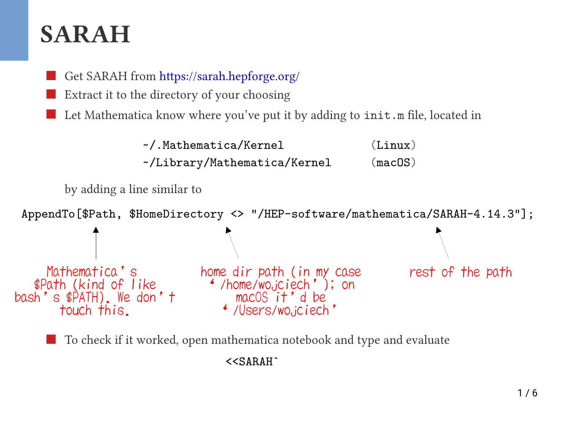#### **SARAH**



Extract it to the directory of your choosing

Let Mathematica know where you've put it by adding to init.m file, located in



To check if it worked, open mathematica notebook and type and evaluate

<<SARAH`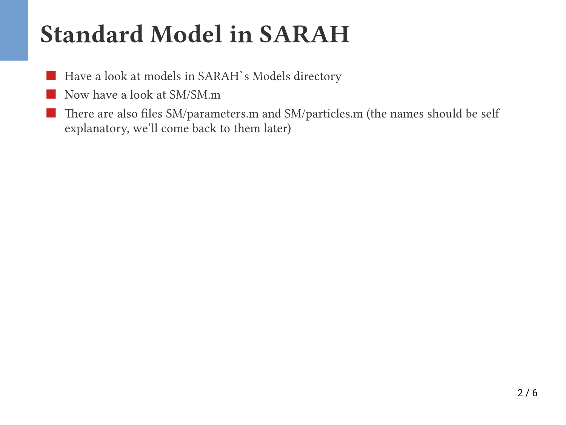## **Standard Model in SARAH**

- Have a look at models in SARAH`s Models directory
- Now have a look at SM/SM.m
- [There are also files SM/parameters.m and SM/particles.m \(the names should be self](https://github.com/FlexibleSUSY/FlexibleSUSY/releases)  explanatory, we'll come back to them later)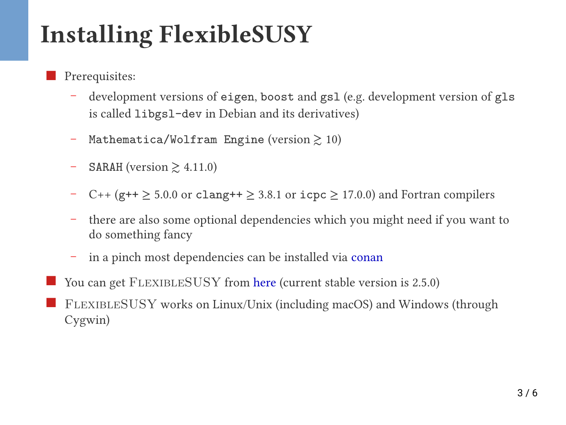# **Installing FlexibleSUSY**

- Prerequisites:
	- development versions of eigen, boost and gsl (e.g. development version of gls is called libgsl-dev in Debian and its derivatives)
	- Mathematica/Wolfram Engine (version  $\gtrsim 10$ )
	- $-$  SARAH (version  $\geq 4.11.0$ )
	- C++ (g++ ≥ 5.0.0 or clang++ ≥ 3.8.1 or icpc ≥ 17.0.0) and Fortran compilers
	- [there are also some optional dependencies which you might need if you want to](https://github.com/FlexibleSUSY/FlexibleSUSY/releases)  do something fancy
	- in a pinch most dependencies can be installed via [conan](https://github.com/FlexibleSUSY/FlexibleSUSY#installation-of-required-optional-libraries)
- You can get FLEXIBLESUSY from [here](https://github.com/FlexibleSUSY/FlexibleSUSY/releases) (current stable version is 2.5.0)
- FlexibleSUSY works on Linux/Unix (including macOS) and Windows (through Cygwin)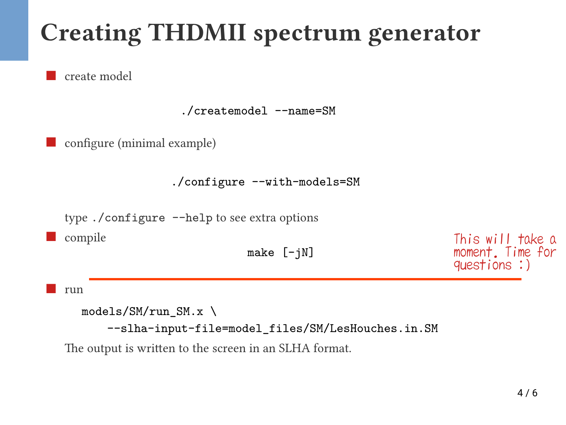# **Creating THDMII spectrum generator**

create model

./createmodel --name=SM

configure (minimal example)

./configure --with-models=SM

type ./configure -–help to see extra options

compile

```
make [-jN]
```
This will take a moment. Time for questions :)

run

```
models/SM/run_SM.x \
```
--slha-input-file=model\_files/SM/LesHouches.in.SM

The output is written to the screen in an SLHA format.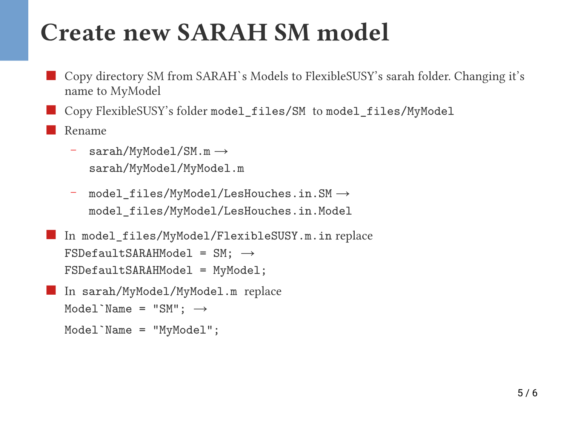#### **Create new SARAH SM model**

 Copy directory SM from SARAH`s Models to FlexibleSUSY's sarah folder. Changing it's name to MyModel

Copy FlexibleSUSY's folder model\_files/SM to model\_files/MyModel

Rename

- $-$  sarah/MyModel/SM.m  $\rightarrow$ sarah/MyModel/MyModel.m
- model files/MyModel/LesHouches.in.SM  $\rightarrow$ model\_files/MyModel/LesHouches.in.Model

```
 In model_files/MyModel/FlexibleSUSY.m.in replace 
FSDefaultSARAHModel = SM; \rightarrowFSDefaultSARAHModel = MyModel;
```

```
 In sarah/MyModel/MyModel.m replace
Model`Name = "SM"; \rightarrowModel`Name = "MyModel";
```

```
5 / 6
```